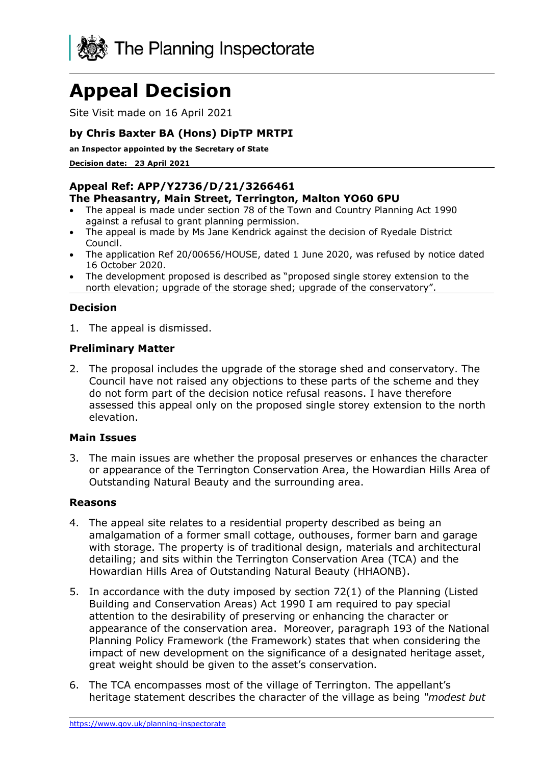

# **Appeal Decision**

Site Visit made on 16 April 2021

# **by Chris Baxter BA (Hons) DipTP MRTPI**

**an Inspector appointed by the Secretary of State** 

**Decision date: 23 April 2021**

#### **Appeal Ref: APP/Y2736/D/21/3266461 The Pheasantry, Main Street, Terrington, Malton YO60 6PU**

- The appeal is made under section 78 of the Town and Country Planning Act 1990 against a refusal to grant planning permission.
- The appeal is made by Ms Jane Kendrick against the decision of Ryedale District Council.
- The application Ref 20/00656/HOUSE, dated 1 June 2020, was refused by notice dated 16 October 2020.
- The development proposed is described as "proposed single storey extension to the north elevation; upgrade of the storage shed; upgrade of the conservatory".

## **Decision**

1. The appeal is dismissed.

## **Preliminary Matter**

2. The proposal includes the upgrade of the storage shed and conservatory. The Council have not raised any objections to these parts of the scheme and they do not form part of the decision notice refusal reasons. I have therefore assessed this appeal only on the proposed single storey extension to the north elevation.

## **Main Issues**

3. The main issues are whether the proposal preserves or enhances the character or appearance of the Terrington Conservation Area, the Howardian Hills Area of Outstanding Natural Beauty and the surrounding area.

#### **Reasons**

- 4. The appeal site relates to a residential property described as being an amalgamation of a former small cottage, outhouses, former barn and garage with storage. The property is of traditional design, materials and architectural detailing; and sits within the Terrington Conservation Area (TCA) and the Howardian Hills Area of Outstanding Natural Beauty (HHAONB).
- 5. In accordance with the duty imposed by section 72(1) of the Planning (Listed Building and Conservation Areas) Act 1990 I am required to pay special attention to the desirability of preserving or enhancing the character or appearance of the conservation area. Moreover, paragraph 193 of the National Planning Policy Framework (the Framework) states that when considering the impact of new development on the significance of a designated heritage asset, great weight should be given to the asset's conservation.
- 6. The TCA encompasses most of the village of Terrington. The appellant's heritage statement describes the character of the village as being *"modest but*